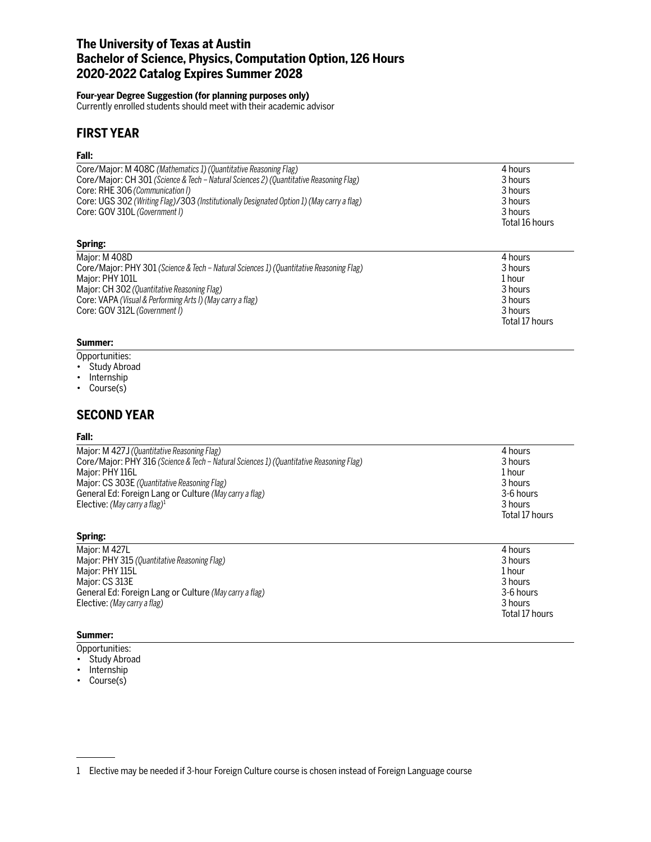## **The University of Texas at Austin Bachelor of Science, Physics, Computation Option, 126 Hours 2020-2022 Catalog Expires Summer 2028**

#### **Four-year Degree Suggestion (for planning purposes only)**

Currently enrolled students should meet with their academic advisor

## **FIRST YEAR**

### **Fall:**

| Core/Major: M 408C (Mathematics 1) (Quantitative Reasoning Flag)<br>Core/Major: CH 301 (Science & Tech - Natural Sciences 2) (Quantitative Reasoning Flag)<br>Core: RHE 306 (Communication I)<br>Core: UGS 302 (Writing Flag)/303 (Institutionally Designated Option 1) (May carry a flag)<br>Core: GOV 310L (Government I) | 4 hours<br>3 hours<br>3 hours<br>3 hours<br>3 hours<br>Total 16 hours           |
|-----------------------------------------------------------------------------------------------------------------------------------------------------------------------------------------------------------------------------------------------------------------------------------------------------------------------------|---------------------------------------------------------------------------------|
| Spring:                                                                                                                                                                                                                                                                                                                     |                                                                                 |
| Major: M 408D<br>Core/Major: PHY 301 (Science & Tech – Natural Sciences 1) (Quantitative Reasoning Flag)<br>Major: PHY 101L<br>Major: CH 302 (Quantitative Reasoning Flag)<br>Core: VAPA (Visual & Performing Arts I) (May carry a flag)<br>Core: GOV 312L (Government I)                                                   | 4 hours<br>3 hours<br>1 hour<br>3 hours<br>3 hours<br>3 hours<br>Total 17 hours |

#### **Summer:**

Opportunities:

- Study Abroad
- Internship
- Course(s)

## **SECOND YEAR**

#### **Fall:**

| Major: M 427J (Quantitative Reasoning Flag)<br>Core/Major: PHY 316 (Science & Tech – Natural Sciences 1) (Quantitative Reasoning Flag)<br>Major: PHY 116L<br>Major: CS 303E (Quantitative Reasoning Flag)<br>General Ed: Foreign Lang or Culture (May carry a flag)<br>Elective: (May carry a flag) <sup>1</sup> | 4 hours<br>3 hours<br>1 hour<br>3 hours<br>3-6 hours<br>3 hours<br>Total 17 hours |
|------------------------------------------------------------------------------------------------------------------------------------------------------------------------------------------------------------------------------------------------------------------------------------------------------------------|-----------------------------------------------------------------------------------|
| Spring:                                                                                                                                                                                                                                                                                                          |                                                                                   |

| Major: M 427L                                          | 4 hours        |
|--------------------------------------------------------|----------------|
| Major: PHY 315 (Quantitative Reasoning Flag)           | 3 hours        |
| Major: PHY 115L                                        | 1 hour         |
| Major: CS 313E                                         | 3 hours        |
| General Ed: Foreign Lang or Culture (May carry a flag) | 3-6 hours      |
| Elective: (May carry a flag)                           | 3 hours        |
|                                                        | Total 17 hours |

## **Summer:**

- Opportunities:
- Study Abroad
- Internship
- Course(s)

<sup>1</sup> Elective may be needed if 3-hour Foreign Culture course is chosen instead of Foreign Language course